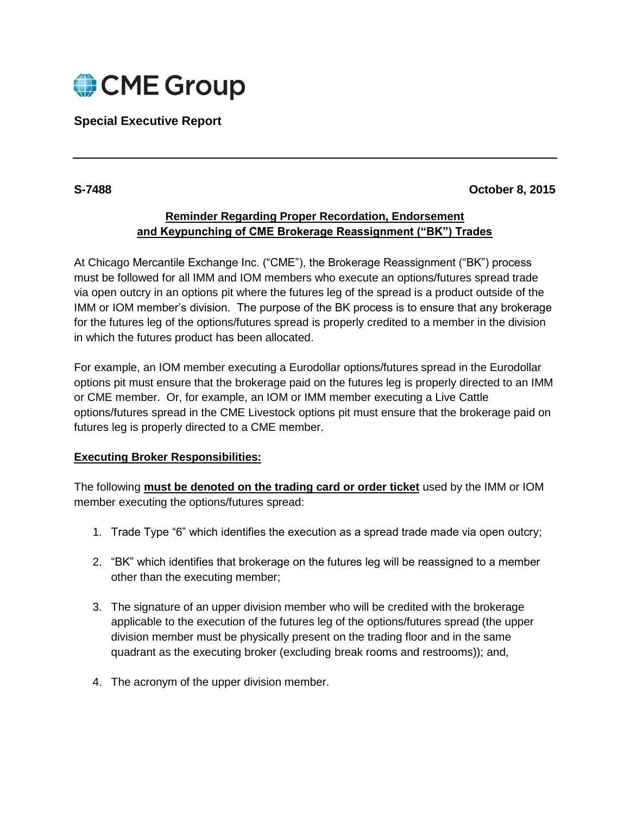

# **Special Executive Report**

### **S-7488 October 8, 2015**

## **Reminder Regarding Proper Recordation, Endorsement and Keypunching of CME Brokerage Reassignment ("BK") Trades**

At Chicago Mercantile Exchange Inc. ("CME"), the Brokerage Reassignment ("BK") process must be followed for all IMM and IOM members who execute an options/futures spread trade via open outcry in an options pit where the futures leg of the spread is a product outside of the IMM or IOM member's division. The purpose of the BK process is to ensure that any brokerage for the futures leg of the options/futures spread is properly credited to a member in the division in which the futures product has been allocated.

For example, an IOM member executing a Eurodollar options/futures spread in the Eurodollar options pit must ensure that the brokerage paid on the futures leg is properly directed to an IMM or CME member. Or, for example, an IOM or IMM member executing a Live Cattle options/futures spread in the CME Livestock options pit must ensure that the brokerage paid on futures leg is properly directed to a CME member.

#### **Executing Broker Responsibilities:**

The following **must be denoted on the trading card or order ticket** used by the IMM or IOM member executing the options/futures spread:

- 1. Trade Type "6" which identifies the execution as a spread trade made via open outcry;
- 2. "BK" which identifies that brokerage on the futures leg will be reassigned to a member other than the executing member;
- 3. The signature of an upper division member who will be credited with the brokerage applicable to the execution of the futures leg of the options/futures spread (the upper division member must be physically present on the trading floor and in the same quadrant as the executing broker (excluding break rooms and restrooms)); and,
- 4. The acronym of the upper division member.